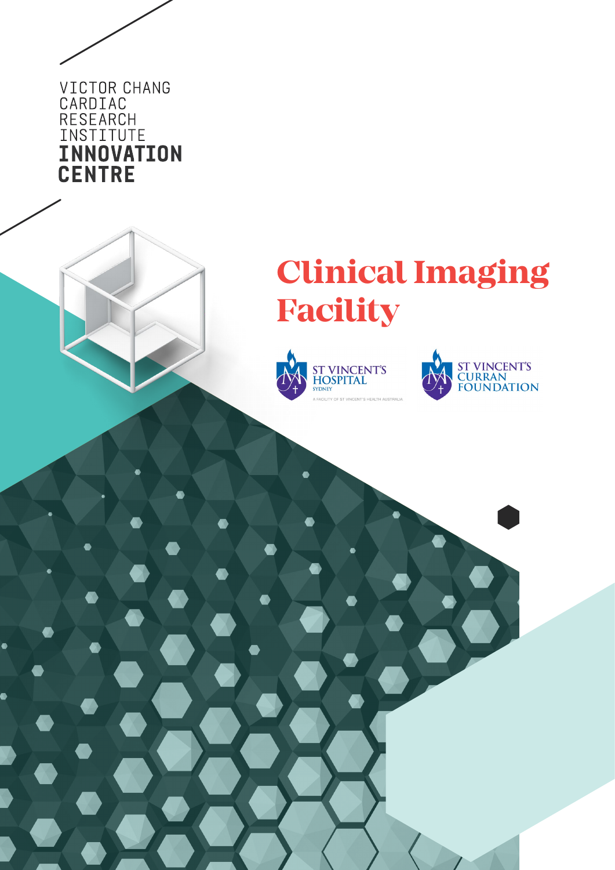VICTOR CHANG<br>CARDIAC RESEARCH<br>INSTITUTE **INNOVATION CENTRE** 

# **Clinical Imaging Facility**